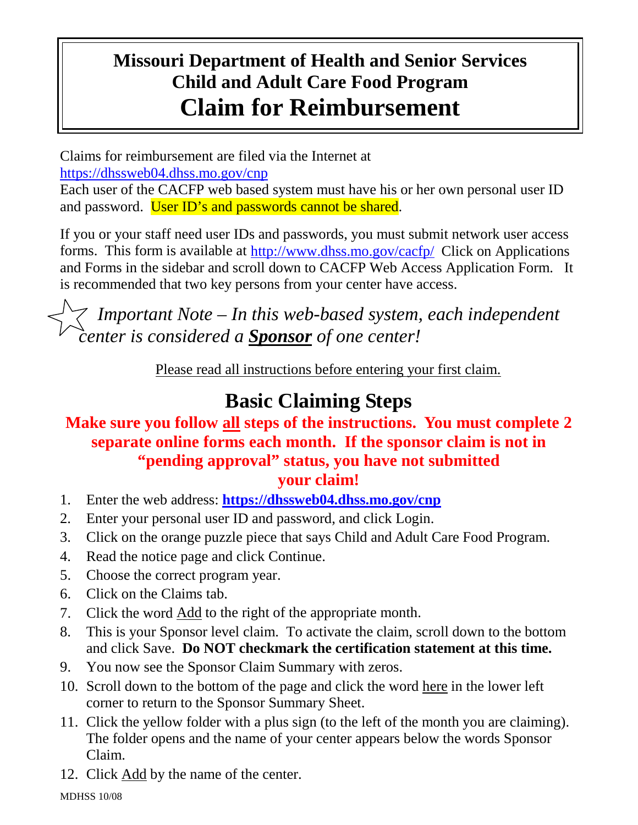## **Missouri Department of Health and Senior Services Child and Adult Care Food Program Claim for Reimbursement**

Claims for reimbursement are filed via the Internet at

<https://dhssweb04.dhss.mo.gov/cnp>

Each user of the CACFP web based system must have his or her own personal user ID and password. User ID's and passwords cannot be shared.

If you or your staff need user IDs and passwords, you must submit network user access forms. This form is available at <http://www.dhss.mo.gov/cacfp/>Click on Applications and Forms in the sidebar and scroll down to CACFP Web Access Application Form. It is recommended that two key persons from your center have access.

 *Important Note – In this web-based system, each independent center is considered a Sponsor of one center!*

Please read all instructions before entering your first claim.

## **Basic Claiming Steps**

#### **Make sure you follow all steps of the instructions. You must complete 2 separate online forms each month. If the sponsor claim is not in "pending approval" status, you have not submitted your claim!**

- 1. Enter the web address: **<https://dhssweb04.dhss.mo.gov/cnp>**
- 2. Enter your personal user ID and password, and click Login.
- 3. Click on the orange puzzle piece that says Child and Adult Care Food Program.
- 4. Read the notice page and click Continue.
- 5. Choose the correct program year.
- 6. Click on the Claims tab.
- 7. Click the word **Add** to the right of the appropriate month.
- 8. This is your Sponsor level claim. To activate the claim, scroll down to the bottom and click Save. **Do NOT checkmark the certification statement at this time.**
- 9. You now see the Sponsor Claim Summary with zeros.
- 10. Scroll down to the bottom of the page and click the word here in the lower left corner to return to the Sponsor Summary Sheet.
- 11. Click the yellow folder with a plus sign (to the left of the month you are claiming). The folder opens and the name of your center appears below the words Sponsor Claim.
- 12. Click Add by the name of the center.

MDHSS 10/08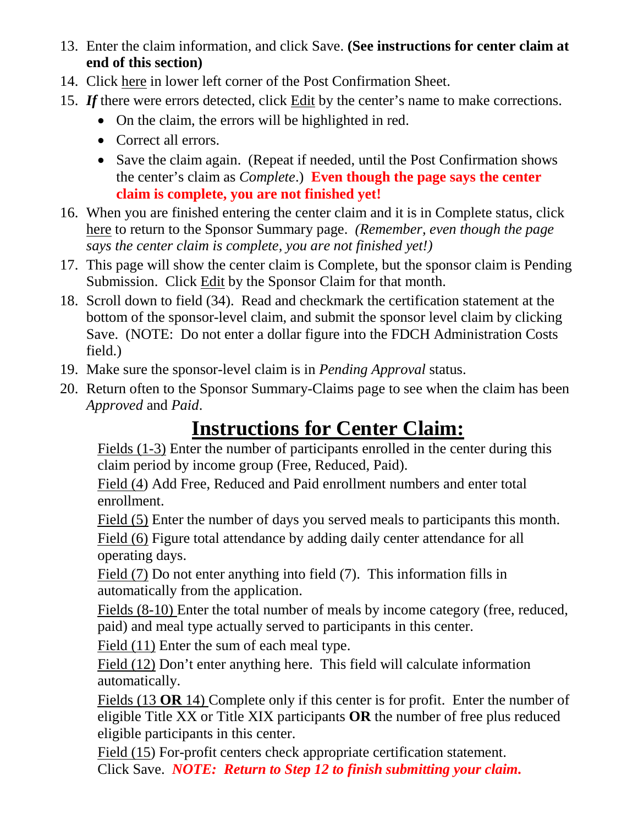- 13. Enter the claim information, and click Save. **(See instructions for center claim at end of this section)**
- 14. Click here in lower left corner of the Post Confirmation Sheet.
- 15. If there were errors detected, click **Edit** by the center's name to make corrections.
	- On the claim, the errors will be highlighted in red.
	- Correct all errors.
	- Save the claim again. (Repeat if needed, until the Post Confirmation shows the center's claim as *Complete*.) **Even though the page says the center claim is complete, you are not finished yet!**
- 16. When you are finished entering the center claim and it is in Complete status, click here to return to the Sponsor Summary page. *(Remember, even though the page says the center claim is complete, you are not finished yet!)*
- 17. This page will show the center claim is Complete, but the sponsor claim is Pending Submission. Click Edit by the Sponsor Claim for that month.
- 18. Scroll down to field (34). Read and checkmark the certification statement at the bottom of the sponsor-level claim, and submit the sponsor level claim by clicking Save. (NOTE: Do not enter a dollar figure into the FDCH Administration Costs field.)
- 19. Make sure the sponsor-level claim is in *Pending Approval* status.
- 20. Return often to the Sponsor Summary-Claims page to see when the claim has been *Approved* and *Paid*.

# **Instructions for Center Claim:**

Fields (1-3) Enter the number of participants enrolled in the center during this claim period by income group (Free, Reduced, Paid).

Field (4) Add Free, Reduced and Paid enrollment numbers and enter total enrollment.

Field (5) Enter the number of days you served meals to participants this month.

Field (6) Figure total attendance by adding daily center attendance for all operating days.

Field (7) Do not enter anything into field (7). This information fills in automatically from the application.

Fields (8-10) Enter the total number of meals by income category (free, reduced, paid) and meal type actually served to participants in this center.

Field (11) Enter the sum of each meal type.

Field (12) Don't enter anything here. This field will calculate information automatically.

Fields (13 **OR** 14) Complete only if this center is for profit. Enter the number of eligible Title XX or Title XIX participants **OR** the number of free plus reduced eligible participants in this center.

Field (15) For-profit centers check appropriate certification statement. Click Save. *NOTE: Return to Step 12 to finish submitting your claim.*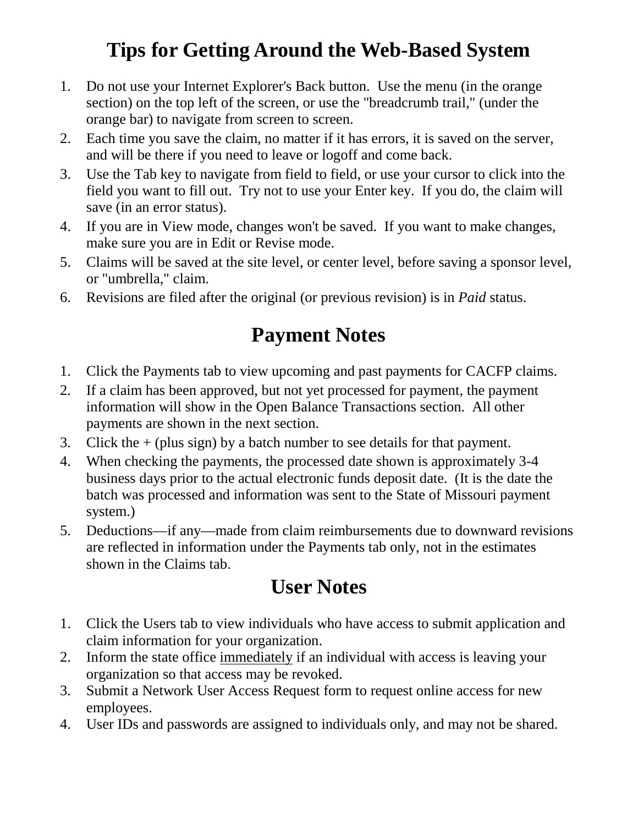## **Tips for Getting Around the Web-Based System**

- 1. Do not use your Internet Explorer's Back button. Use the menu (in the orange section) on the top left of the screen, or use the "breadcrumb trail," (under the orange bar) to navigate from screen to screen.
- 2. Each time you save the claim, no matter if it has errors, it is saved on the server, and will be there if you need to leave or logoff and come back.
- 3. Use the Tab key to navigate from field to field, or use your cursor to click into the field you want to fill out. Try not to use your Enter key. If you do, the claim will save (in an error status).
- 4. If you are in View mode, changes won't be saved. If you want to make changes, make sure you are in Edit or Revise mode.
- 5. Claims will be saved at the site level, or center level, before saving a sponsor level, or "umbrella," claim.
- 6. Revisions are filed after the original (or previous revision) is in *Paid* status.

### **Payment Notes**

- 1. Click the Payments tab to view upcoming and past payments for CACFP claims.
- 2. If a claim has been approved, but not yet processed for payment, the payment information will show in the Open Balance Transactions section. All other payments are shown in the next section.
- 3. Click the  $+$  (plus sign) by a batch number to see details for that payment.
- 4. When checking the payments, the processed date shown is approximately 3-4 business days prior to the actual electronic funds deposit date. (It is the date the batch was processed and information was sent to the State of Missouri payment system.)
- 5. Deductions—if any—made from claim reimbursements due to downward revisions are reflected in information under the Payments tab only, not in the estimates shown in the Claims tab.

# **User Notes**

- 1. Click the Users tab to view individuals who have access to submit application and claim information for your organization.
- 2. Inform the state office immediately if an individual with access is leaving your organization so that access may be revoked.
- 3. Submit a Network User Access Request form to request online access for new employees.
- 4. User IDs and passwords are assigned to individuals only, and may not be shared.